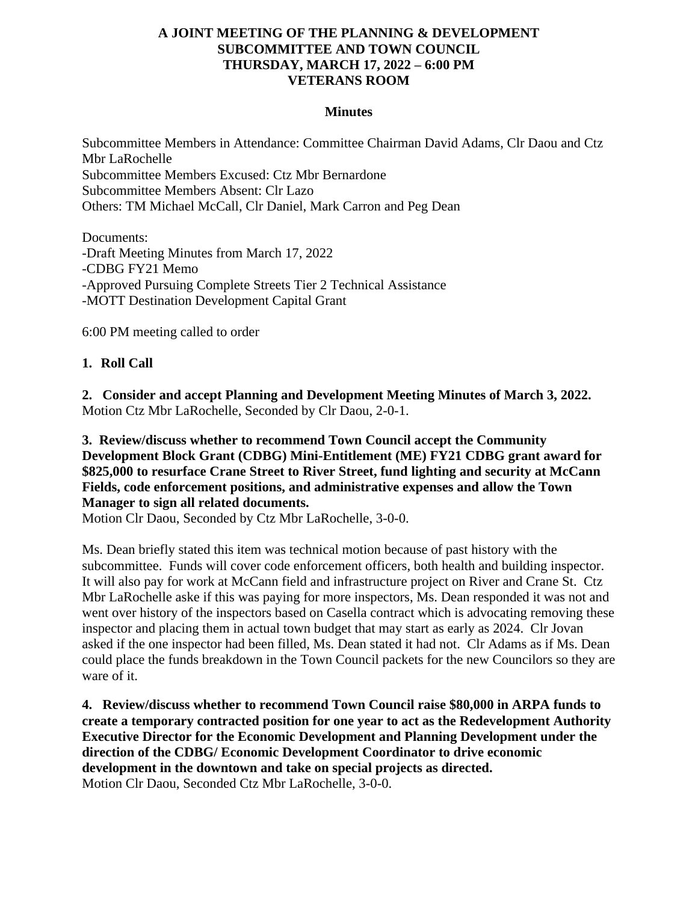### **A JOINT MEETING OF THE PLANNING & DEVELOPMENT SUBCOMMITTEE AND TOWN COUNCIL THURSDAY, MARCH 17, 2022 – 6:00 PM VETERANS ROOM**

#### **Minutes**

Subcommittee Members in Attendance: Committee Chairman David Adams, Clr Daou and Ctz Mbr LaRochelle Subcommittee Members Excused: Ctz Mbr Bernardone Subcommittee Members Absent: Clr Lazo Others: TM Michael McCall, Clr Daniel, Mark Carron and Peg Dean

Documents: -Draft Meeting Minutes from March 17, 2022 -CDBG FY21 Memo -Approved Pursuing Complete Streets Tier 2 Technical Assistance -MOTT Destination Development Capital Grant

6:00 PM meeting called to order

## **1. Roll Call**

**2. Consider and accept Planning and Development Meeting Minutes of March 3, 2022.** Motion Ctz Mbr LaRochelle, Seconded by Clr Daou, 2-0-1.

# **3. Review/discuss whether to recommend Town Council accept the Community Development Block Grant (CDBG) Mini-Entitlement (ME) FY21 CDBG grant award for \$825,000 to resurface Crane Street to River Street, fund lighting and security at McCann Fields, code enforcement positions, and administrative expenses and allow the Town Manager to sign all related documents.**

Motion Clr Daou, Seconded by Ctz Mbr LaRochelle, 3-0-0.

Ms. Dean briefly stated this item was technical motion because of past history with the subcommittee. Funds will cover code enforcement officers, both health and building inspector. It will also pay for work at McCann field and infrastructure project on River and Crane St. Ctz Mbr LaRochelle aske if this was paying for more inspectors, Ms. Dean responded it was not and went over history of the inspectors based on Casella contract which is advocating removing these inspector and placing them in actual town budget that may start as early as 2024. Clr Jovan asked if the one inspector had been filled, Ms. Dean stated it had not. Clr Adams as if Ms. Dean could place the funds breakdown in the Town Council packets for the new Councilors so they are ware of it.

**4. Review/discuss whether to recommend Town Council raise \$80,000 in ARPA funds to create a temporary contracted position for one year to act as the Redevelopment Authority Executive Director for the Economic Development and Planning Development under the direction of the CDBG/ Economic Development Coordinator to drive economic development in the downtown and take on special projects as directed.** Motion Clr Daou, Seconded Ctz Mbr LaRochelle, 3-0-0.